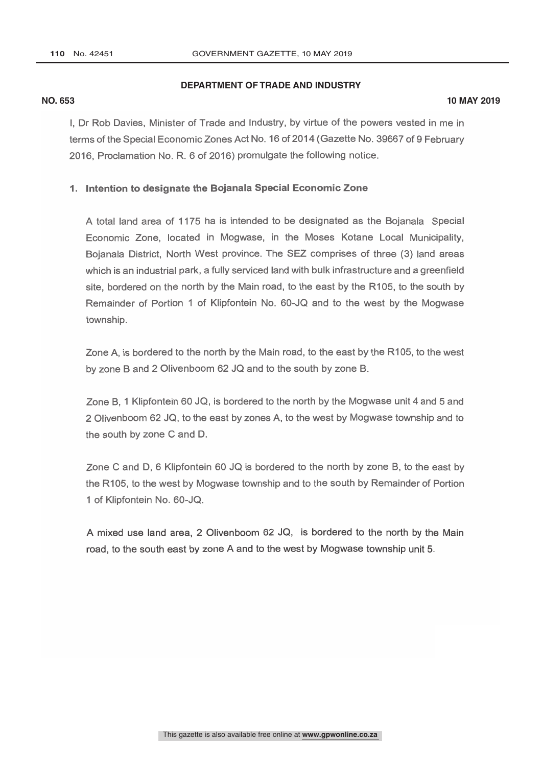## **DEPARTMENT OF TRADE AND INDUSTRY**

#### **NO. 653 10 MAY 2019**

I, Dr Rob Davies, Minister of Trade and Industry, by virtue of the powers vested in me in terms of the Special Economic Zones Act No. 16 of 2014 (Gazette No. 39667 of 9 February 2016, Proclamation No. R. 6 of 2016) promulgate the following notice.

### 1. Intention to designate the Bojanala Special Economic Zone

A total land area of 1175 ha is intended to be designated as the Bojanala Special Economic Zone, located in Mogwase, in the Moses Kotane Local Municipality, Bojanala District, North West province. The SEZ comprises of three (3) land areas which is an industrial park, a fully serviced land with bulk infrastructure and a greenfield site, bordered on the north by the Main road, to the east by the R105, to the south by Remainder of Portion 1 of Klipfontein No. 60 -JQ and to the west by the Mogwase township.

Zone A, is bordered to the north by the Main road, to the east by the R105, to the west by zone B and 2 Olivenboom 62 JQ and to the south by zone B.

Zone B, 1 Klipfontein 60 JQ, is bordered to the north by the Mogwase unit 4 and 5 and 2 Olivenboom 62 JQ, to the east by zones A, to the west by Mogwase township and to the south by zone C and D.

Zone C and D, 6 Klipfontein 60 JQ is bordered to the north by zone B, to the east by the R105, to the west by Mogwase township and to the south by Remainder of Portion 1 of Klipfontein No. 60-JQ.

A mixed use land area, 2 Olivenboom 62 JQ, is bordered to the north by the Main road, to the south east by zone A and to the west by Mogwase township unit 5.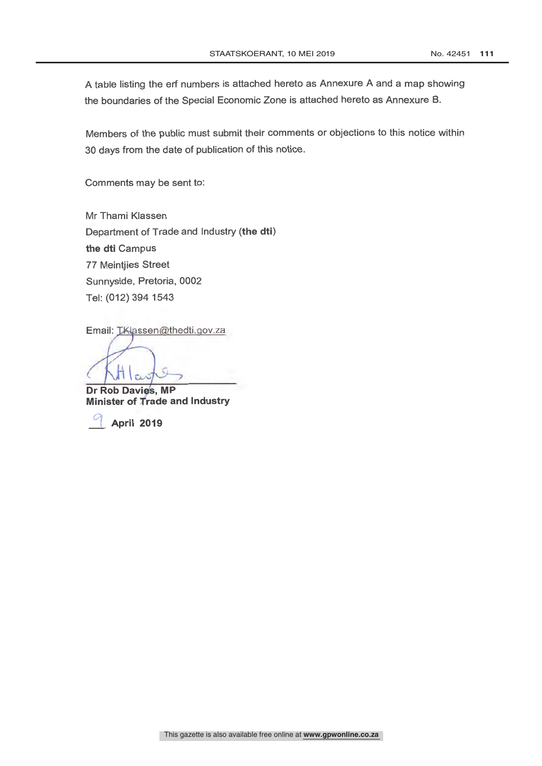A table listing the erf numbers is attached hereto as Annexure A and a map showing the boundaries of the Special Economic Zone is attached hereto as Annexure B.

Members of the public must submit their comments or objections to this notice within 30 days from the date of publication of this notice.

Comments may be sent to:

Mr Thami Klassen Department of Trade and Industry (the dti) the dti Campus 77 Meintjies Street Sunnyside, Pretoria, 0002 Tel: (012) 394 1543

Email: LKlassen@thedti.gov.za

Dr Rob Davies, MP **Minister of Trade and Industry** 

April 2019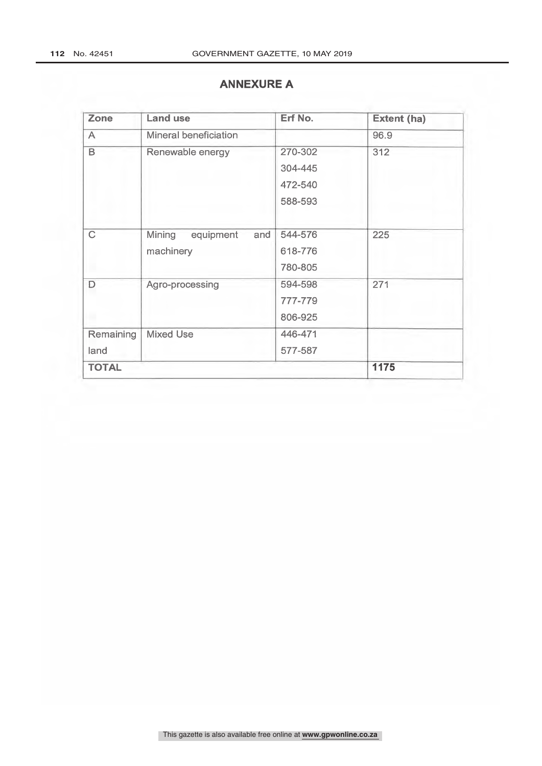# **ANNEXURE A**

| Zone              | <b>Land use</b>                         | Erf No.                                  | <b>Extent (ha)</b> |
|-------------------|-----------------------------------------|------------------------------------------|--------------------|
| $\overline{A}$    | Mineral beneficiation                   |                                          | 96.9               |
| B                 | Renewable energy                        | 270-302<br>304-445<br>472-540<br>588-593 | 312                |
| $\overline{C}$    | Mining<br>equipment<br>and<br>machinery | 544-576<br>618-776<br>780-805            | 225                |
| $\Box$            | Agro-processing                         | 594-598<br>777-779<br>806-925            | 271                |
| Remaining<br>land | <b>Mixed Use</b>                        | 446-471<br>577-587                       |                    |
| <b>TOTAL</b>      |                                         |                                          | 1175               |